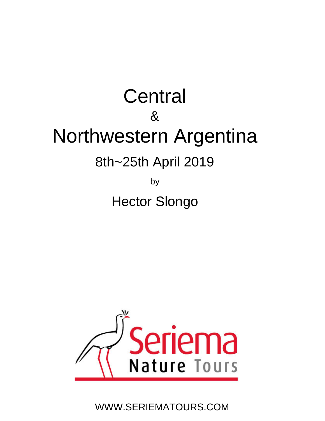## **Central** & Northwestern Argentina 8th~25th April 2019

by Hector Slongo



WWW.SERIEMATOURS.COM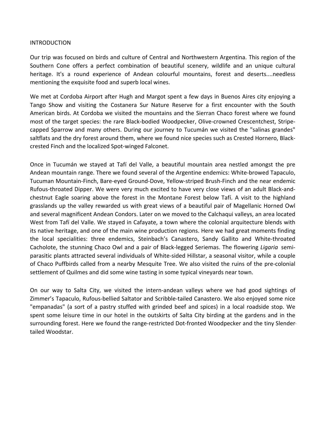## INTRODUCTION

Our trip was focused on birds and culture of Central and Northwestern Argentina. This region of the Southern Cone offers a perfect combination of beautiful scenery, wildlife and an unique cultural heritage. It's a round experience of Andean colourful mountains, forest and deserts....needless mentioning the exquisite food and superb local wines.

We met at Cordoba Airport after Hugh and Margot spent a few days in Buenos Aires city enjoying a Tango Show and visiting the Costanera Sur Nature Reserve for a first encounter with the South American birds. At Cordoba we visited the mountains and the Sierran Chaco forest where we found most of the target species: the rare Black‐bodied Woodpecker, Olive‐crowned Crescentchest, Stripe‐ capped Sparrow and many others. During our journey to Tucumán we visited the "salinas grandes" saltflats and the dry forest around them, where we found nice species such as Crested Hornero, Black‐ crested Finch and the localized Spot‐winged Falconet.

Once in Tucumán we stayed at Tafí del Valle, a beautiful mountain area nestled amongst the pre Andean mountain range. There we found several of the Argentine endemics: White‐browed Tapaculo, Tucuman Mountain‐Finch, Bare‐eyed Ground‐Dove, Yellow‐striped Brush‐Finch and the near endemic Rufous‐throated Dipper. We were very much excited to have very close views of an adult Black‐and‐ chestnut Eagle soaring above the forest in the Montane Forest below Tafí. A visit to the highland grasslands up the valley rewarded us with great views of a beautiful pair of Magellanic Horned Owl and several magnificent Andean Condors. Later on we moved to the Calchaqui valleys, an area located West from Tafí del Valle. We stayed in Cafayate, a town where the colonial arquitecture blends with its native heritage, and one of the main wine production regions. Here we had great moments finding the local specialities: three endemics, Steinbach's Canastero, Sandy Gallito and White‐throated Cacholote, the stunning Chaco Owl and a pair of Black‐legged Seriemas. The flowering *Ligaria* semi‐ parasitic plants attracted several individuals of White‐sided Hillstar, a seasonal visitor, while a couple of Chaco Puffbirds called from a nearby Mesquite Tree. We also visited the ruins of the pre‐colonial settlement of Quilmes and did some wine tasting in some typical vineyards near town.

On our way to Salta City, we visited the intern‐andean valleys where we had good sightings of Zimmer's Tapaculo, Rufous‐bellied Saltator and Scribble‐tailed Canastero. We also enjoyed some nice "empanadas" (a sort of a pastry stuffed with grinded beef and spices) in a local roadside stop. We spent some leisure time in our hotel in the outskirts of Salta City birding at the gardens and in the surrounding forest. Here we found the range‐restricted Dot‐fronted Woodpecker and the tiny Slender‐ tailed Woodstar.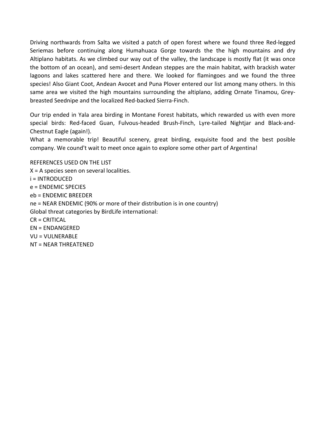Driving northwards from Salta we visited a patch of open forest where we found three Red‐legged Seriemas before continuing along Humahuaca Gorge towards the the high mountains and dry Altiplano habitats. As we climbed our way out of the valley, the landscape is mostly flat (it was once the bottom of an ocean), and semi‐desert Andean steppes are the main habitat, with brackish water lagoons and lakes scattered here and there. We looked for flamingoes and we found the three species! Also Giant Coot, Andean Avocet and Puna Plover entered our list among many others. In this same area we visited the high mountains surrounding the altiplano, adding Ornate Tinamou, Greybreasted Seednipe and the localized Red‐backed Sierra‐Finch.

Our trip ended in Yala area birding in Montane Forest habitats, which rewarded us with even more special birds: Red-faced Guan, Fulvous-headed Brush-Finch, Lyre-tailed Nightjar and Black-and-Chestnut Eagle (again!).

What a memorable trip! Beautiful scenery, great birding, exquisite food and the best posible company. We cound't wait to meet once again to explore some other part of Argentina!

REFERENCES USED ON THE LIST X = A species seen on several localities. i = INTRODUCED e = ENDEMIC SPECIES eb = ENDEMIC BREEDER ne = NEAR ENDEMIC (90% or more of their distribution is in one country) Global threat categories by BirdLife international: CR = CRITICAL EN = ENDANGERED VU = VULNERABLE NT = NEAR THREATENED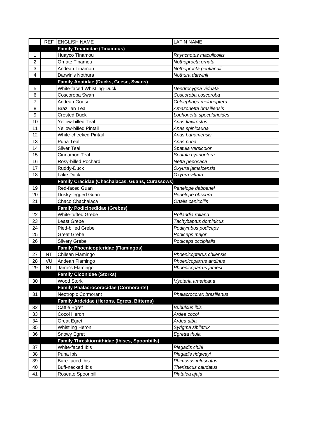|          |           | REF ENGLISH NAME                                | <b>LATIN NAME</b>                      |
|----------|-----------|-------------------------------------------------|----------------------------------------|
|          |           | <b>Family Tinamidae (Tinamous)</b>              |                                        |
| 1        |           | Huayco Tinamou                                  | Rhynchotus maculicollis                |
| 2        |           | Ornate Tinamou                                  | Nothoprocta ornata                     |
| 3        |           | Andean Tinamou                                  | Nothoprocta pentlandii                 |
| 4        |           | Darwin's Nothura                                | Nothura darwinii                       |
|          |           | Family Anatidae (Ducks, Geese, Swans)           |                                        |
| 5        |           | White-faced Whistling-Duck                      | Dendrocygna viduata                    |
| 6        |           | Coscoroba Swan                                  | Coscoroba coscoroba                    |
| 7        |           | Andean Goose                                    | Chloephaga melanoptera                 |
| 8        |           | <b>Brazilian Teal</b>                           | Amazonetta brasiliensis                |
| 9        |           | <b>Crested Duck</b>                             | Lophonetta specularioides              |
| 10       |           | <b>Yellow-billed Teal</b>                       | Anas flavirostris                      |
| 11       |           | <b>Yellow-billed Pintail</b>                    | Anas spinicauda                        |
| 12       |           | <b>White-cheeked Pintail</b>                    | Anas bahamensis                        |
| 13       |           | Puna Teal                                       | Anas puna                              |
| 14       |           | <b>Silver Teal</b>                              | Spatula versicolor                     |
| 15       |           | Cinnamon Teal                                   | Spatula cyanoptera                     |
| 16       |           | Rosy-billed Pochard                             | Netta peposaca                         |
| 17       |           | Ruddy-Duck                                      | Oxyura jamaicensis                     |
| 18       |           | Lake Duck                                       | Oxyura vittata                         |
|          |           | Family Cracidae (Chachalacas, Guans, Curassows) |                                        |
| 19       |           | Red-faced Guan                                  | Penelope dabbenei                      |
| 20       |           | Dusky-legged Guan                               | Penelope obscura                       |
| 21       |           | Chaco Chachalaca                                | Ortalis canicollis                     |
|          |           |                                                 |                                        |
|          |           | <b>Family Podicipedidae (Grebes)</b>            |                                        |
| 22       |           | White-tufted Grebe                              | Rollandia rolland                      |
| 23       |           | Least Grebe                                     | Tachybaptus dominicus                  |
| 24       |           | Pied-billed Grebe                               | Podilymbus podiceps                    |
| 25       |           | <b>Great Grebe</b>                              | Podiceps major                         |
| 26       |           | Silvery Grebe                                   | Podiceps occipitalis                   |
|          |           | <b>Family Phoenicopteridae (Flamingos)</b>      |                                        |
| 27       | <b>NT</b> | Chilean Flamingo                                | Phoenicopterus chilensis               |
| 28       | VU        | Andean Flamingo                                 | Phoenicoparrus andinus                 |
| 29       | <b>NT</b> | Jame's Flamingo                                 | Phoenicoparrus jamesi                  |
|          |           | <b>Family Ciconidae (Storks)</b>                |                                        |
| 30       |           | <b>Wood Stork</b>                               | Mycteria americana                     |
|          |           | <b>Family Phalacrocoracidae (Cormorants)</b>    |                                        |
| 31       |           | Neotropic Cormorant                             | Phalacrocorax brasilianus              |
|          |           | Family Ardeidae (Herons, Egrets, Bitterns)      |                                        |
| 32       |           | Cattle Egret                                    | <b>Bubulcus ibis</b>                   |
| 33       |           | Cocoi Heron                                     | Ardea cocoi                            |
| 34       |           | <b>Great Egret</b>                              | Ardea alba                             |
| 35       |           | <b>Whistling Heron</b>                          | Syrigma sibilatrix                     |
| 36       |           | Snowy Egret                                     | Egretta thula                          |
|          |           | Family Threskiornithidae (Ibises, Spoonbills)   |                                        |
| 37       |           | White-faced Ibis                                | Plegadis chihi                         |
| 38       |           | Puna Ibis                                       | Plegadis ridgwayi                      |
| 39       |           | Bare-faced Ibis                                 | Phimosus infuscatus                    |
| 40<br>41 |           | <b>Buff-necked Ibis</b><br>Roseate Spoonbill    | Theristicus caudatus<br>Platalea ajaja |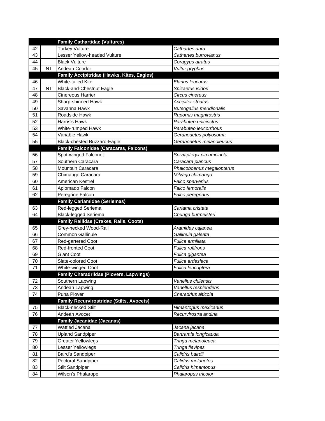|    |           | <b>Family Cathartidae (Vultures)</b>             |                                 |
|----|-----------|--------------------------------------------------|---------------------------------|
| 42 |           | <b>Turkey Vulture</b>                            | Cathartes aura                  |
| 43 |           | Lesser Yellow-headed Vulture                     | Cathartes burrovianus           |
| 44 |           | <b>Black Vulture</b>                             | Coragyps atratus                |
| 45 | <b>NT</b> | Andean Condor                                    | Vultur gryphus                  |
|    |           | Family Accipitridae (Hawks, Kites, Eagles)       |                                 |
| 46 |           | White-tailed Kite                                | Elanus leucurus                 |
| 47 | <b>NT</b> | <b>Black-and-Chestnut Eagle</b>                  | Spizaetus isidori               |
| 48 |           | <b>Cinereous Harrier</b>                         | Circus cinereus                 |
| 49 |           | Sharp-shinned Hawk                               | <b>Accipiter striatus</b>       |
| 50 |           | Savanna Hawk                                     | <b>Buteogallus meridionalis</b> |
| 51 |           | Roadside Hawk                                    | Rupornis magnirostris           |
| 52 |           | Harris's Hawk                                    | Parabuteo unicinctus            |
| 53 |           | White-rumped Hawk                                | Parabuteo leucorrhous           |
| 54 |           | Variable Hawk                                    | Geranoaetus polyosoma           |
| 55 |           | Black-chested Buzzard-Eagle                      | Geranoaetus melanoleucus        |
|    |           | <b>Family Falconidae (Caracaras, Falcons)</b>    |                                 |
| 56 |           | Spot-winged Falconet                             | Spiziapteryx circumcincta       |
| 57 |           | Southern Caracara                                | Caracara plancus                |
| 58 |           | Mountain Caracara                                | Phalcoboenus megalopterus       |
| 59 |           | Chimango Caracara                                | Milvago chimango                |
| 60 |           | American Kestrel                                 | Falco sparverius                |
| 61 |           | Aplomado Falcon                                  | Falco femoralis                 |
| 62 |           | Peregrine Falcon                                 | Falco peregrinus                |
|    |           | <b>Family Cariamidae (Seriemas)</b>              |                                 |
|    |           |                                                  |                                 |
| 63 |           | Red-legged Seriema                               | Cariama cristata                |
| 64 |           | <b>Black-legged Seriema</b>                      | Chunga burmeisteri              |
|    |           | Family Rallidae (Crakes, Rails, Coots)           |                                 |
| 65 |           | Grey-necked Wood-Rail                            | Aramides cajanea                |
| 66 |           | <b>Common Gallinule</b>                          | Gallinula galeata               |
| 67 |           | Red-gartered Coot                                | Fulica armillata                |
| 68 |           | <b>Red-fronted Coot</b>                          | Fulica rufifrons                |
| 69 |           | <b>Giant Coot</b>                                | Fulica gigantea                 |
| 70 |           | Slate-colored Coot                               | Fulica ardesiaca                |
| 71 |           | White-winged Coot                                | Fulica leucoptera               |
|    |           | <b>Family Charadriidae (Plovers, Lapwings)</b>   |                                 |
| 72 |           | Southern Lapwing                                 | Vanellus chilensis              |
| 73 |           | Andean Lapwing                                   | Vanellus resplendens            |
| 74 |           | Puna Plover                                      | Charadrius alticola             |
|    |           | <b>Family Recurvirostridae (Stilts, Avocets)</b> |                                 |
| 75 |           | <b>Black-necked Stilt</b>                        | Himantopus mexicanus            |
| 76 |           | Andean Avocet                                    | Recurvirostra andina            |
|    |           | <b>Family Jacanidae (Jacanas)</b>                |                                 |
| 77 |           | Wattled Jacana                                   | Jacana jacana                   |
| 78 |           | <b>Upland Sandpiper</b>                          | Bartramia longicauda            |
| 79 |           | <b>Greater Yellowlegs</b>                        | Tringa melanoleuca              |
| 80 |           | Lesser Yellowlegs                                | Tringa flavipes                 |
| 81 |           | Baird's Sandpiper                                | Calidris bairdii                |
| 82 |           | Pectoral Sandpiper                               | Calidris melanotos              |
| 83 |           | <b>Stilt Sandpiper</b>                           | Calidris himantopus             |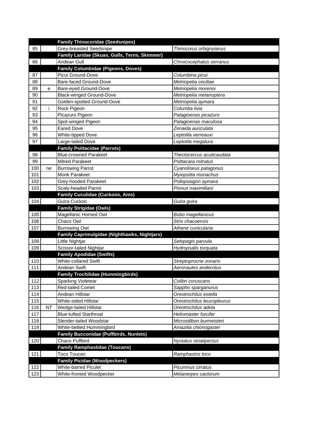|     |           | <b>Family Thinocoridae (Seedsnipes)</b>       |                            |
|-----|-----------|-----------------------------------------------|----------------------------|
| 85  |           | <b>Grey-breasted Seedsnipe</b>                | Thinocorus orbignyianus    |
|     |           | Family Laridae (Skuas, Gulls, Terns, Skimmer) |                            |
| 86  |           | Andean Gull                                   | Chroicocephalus serranus   |
|     |           | <b>Family Columbidae (Pigeons, Doves)</b>     |                            |
| 87  |           | Picui Ground-Dove                             | Columbina picui            |
| 88  |           | Bare-faced Ground-Dove                        | Metriopelia ceciliae       |
| 89  | е         | Bare-eyed Ground-Dove                         | Metriopelia morenoi        |
| 90  |           | <b>Black-winged Ground-Dove</b>               | Metriopelia melanoptera    |
| 91  |           | Golden-spotted Ground-Dove                    | Metriopelia aymara         |
| 92  | i         | Rock Pigeon                                   | Columba livia              |
| 93  |           | Picazuro Pigeon                               | Patagioenas picazuro       |
| 94  |           | Spot-winged Pigeon                            | Patagioenas maculosa       |
| 95  |           | <b>Eared Dove</b>                             | Zenaida auriculata         |
| 96  |           | <b>White-tipped Dove</b>                      | Leptotila verreauxi        |
| 97  |           | Large-tailed Dove                             | Leptotila megalura         |
|     |           | <b>Family Psittacidae (Parrots)</b>           |                            |
| 98  |           | <b>Blue-crowned Parakeet</b>                  | Thectocercus acuticaudata  |
| 99  |           | <b>Mitred Parakeet</b>                        | Psittacara mitratus        |
| 100 | ne        | <b>Burrowing Parrot</b>                       | Cyanoliseus patagonus      |
| 101 |           | Monk Parakeet                                 | Myiopsitta monachus        |
| 102 |           | Grey-hooded Parakeet                          | Psilopsiagon aymara        |
| 103 |           | Scaly-headed Parrot                           | Pionus maximiliani         |
|     |           | <b>Family Cuculidae (Cuckoos, Anis)</b>       |                            |
| 104 |           | Guira Cuckoo                                  | Guira guira                |
|     |           | <b>Family Strigidae (Owls)</b>                |                            |
| 105 |           | Magellanic Horned Owl                         | <b>Bubo magellanicus</b>   |
| 106 |           | Chaco Owl                                     | Strix chacoensis           |
| 107 |           | <b>Burrowing Owl</b>                          | Athene cunicularia         |
|     |           | Family Caprimulgidae (Nighthawks, Nightjars)  |                            |
| 108 |           | Little Nightjar                               | Setopagis parvula          |
| 109 |           | Scissor-tailed Nightjar                       | Hydropsalis torquata       |
|     |           | <b>Family Apodidae (Swifts)</b>               |                            |
| 110 |           | White-collared Swift                          | Streptoprocne zonaris      |
| 111 |           | Andean Swift                                  | Aeronautes andecolus       |
|     |           | <b>Family Trochilidae (Hummingbirds)</b>      |                            |
| 112 |           | <b>Sparking Violetear</b>                     | Colibri coruscans          |
| 113 |           | <b>Red-tailed Comet</b>                       | Sappho sparganurus         |
| 114 |           | Andean Hillstar                               | Oreotrochilus estella      |
| 115 |           | White-sided Hillstar                          | Oreotrochilus leucopleurus |
| 116 | <b>NT</b> | Wedge-tailed Hillstar                         | Oreotrochilus adela        |
| 117 |           | <b>Blue-tufted Starthroat</b>                 | Heliomaster furcifer       |
| 118 |           | Slender-tailed Woodstar                       | Microstilbon burmeisteri   |
| 119 |           | White-bellied Hummingbird                     | Amazilia chionogaster      |
|     |           | <b>Family Bucconidae (Puffbirds, Nunlets)</b> |                            |
| 120 |           | Chaco Puffbird                                | Nystalus striatipectus     |
|     |           | <b>Family Ramphastidae (Toucans)</b>          |                            |
| 121 |           | Toco Toucan                                   | Ramphastos toco            |
|     |           | <b>Family Picidae (Woodpeckers)</b>           |                            |
| 122 |           | <b>White-barred Piculet</b>                   | Picumnus cirratus          |
| 123 |           | White-fronted Woodpecker                      | Melanerpes cactorum        |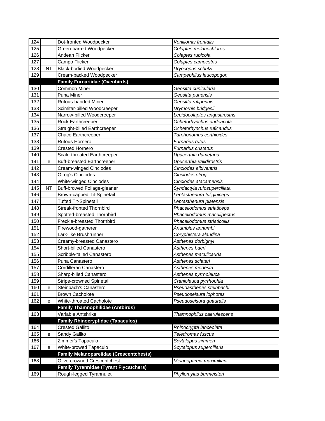| 124 |           | Dot-fronted Woodpecker                         | Veniliornis frontalis         |
|-----|-----------|------------------------------------------------|-------------------------------|
| 125 |           | Green-barred Woodpecker                        | Colaptes melanochloros        |
| 126 |           | Andean Flicker                                 | Colaptes rupicola             |
| 127 |           | Campo Flicker                                  | Colaptes campestris           |
| 128 | NT        | <b>Black-bodied Woodpecker</b>                 | Dryocopus schulzi             |
| 129 |           | Cream-backed Woodpecker                        | Campephilus leucopogon        |
|     |           | <b>Family Furnariidae (Ovenbirds)</b>          |                               |
| 130 |           | Common Miner                                   | Geositta cunicularia          |
| 131 |           | Puna Miner                                     | Geositta punensis             |
| 132 |           | Rufous-banded Miner                            | Geositta rufipennis           |
| 133 |           | Scimitar-billed Woodcreeper                    | Drymornis bridgesii           |
| 134 |           | Narrow-billed Woodcreeper                      | Lepidocolaptes angustirostris |
| 135 |           | Rock Earthcreeper                              | Ochetorhynchus andeacola      |
| 136 |           | Straight-billed Earthcreeper                   | Ochetorhynchus ruficaudus     |
| 137 |           | Chaco Earthcreeper                             | Tarphonomus certhioides       |
| 138 |           | Rufous Hornero                                 | Furnarius rufus               |
| 139 |           | <b>Crested Hornero</b>                         | Furnarius cristatus           |
| 140 |           | Scale-throated Earthcreeper                    | Upucerthia dumetaria          |
| 141 | е         | <b>Buff-breasted Earthcreeper</b>              | Upucerthia validirostris      |
| 142 |           | Cream-winged Cinclodes                         | Cinclodes albiventris         |
| 143 |           | Olrog's Cinclodes                              | Cinclodes olrogi              |
| 144 |           | <b>White-winged Cinclodes</b>                  | Cinclodes atacamensis         |
| 145 | <b>NT</b> | Buff-browed Foliage-gleaner                    | Syndactyla rufosuperciliata   |
| 146 |           | Brown-capped Tit-Spinetail                     | Leptasthenura fuliginiceps    |
| 147 |           | <b>Tufted Tit-Spinetail</b>                    | Leptasthenura platensis       |
| 148 |           | <b>Streak-fronted Thornbird</b>                | Phacellodomus striaticeps     |
| 149 |           | Spotted-breasted Thornbird                     | Phacellodomus maculipectus    |
| 150 |           | Freckle-breasted Thornbird                     | Phacellodomus striaticollis   |
| 151 |           | Firewood-gatherer                              | Anumbius annumbi              |
| 152 |           | Lark-like Brushrunner                          | Coryphistera alaudina         |
| 153 |           | Creamy-breasted Canastero                      | Asthenes dorbignyi            |
| 154 |           | Short-billed Canastero                         | Asthenes baeri                |
| 155 |           | Scribble-tailed Canastero                      | Asthenes maculicauda          |
| 156 |           | Puna Canastero                                 | Asthenes sclateri             |
| 157 |           | Cordilleran Canastero                          | Asthenes modesta              |
| 158 |           | Sharp-billed Canastero                         | Asthenes pyrrholeuca          |
| 159 |           | Stripe-crowned Spinetail                       | Cranioleuca pyrrhophia        |
| 160 | е         | Steinbach's Canastero                          | Pseudasthenes steinbachi      |
| 161 |           | <b>Brown Cacholote</b>                         | Pseudoseisura lophotes        |
| 162 | е         | White-throated Cacholote                       | Pseudoseisura gutturalis      |
|     |           | <b>Family Thamnophilidae (Antbirds)</b>        |                               |
| 163 |           | Variable Antshrike                             | Thamnophilus caerulescens     |
|     |           | <b>Family Rhinocryptidae (Tapaculos)</b>       |                               |
| 164 |           | <b>Crested Gallito</b>                         | Rhinocrypta lanceolata        |
| 165 | e         | Sandy Gallito                                  | Teledromas fuscus             |
| 166 |           | Zimmer's Tapaculo                              | Scytalopus zimmeri            |
| 167 | е         | White-browed Tapaculo                          | Scytalopus superciliaris      |
|     |           | <b>Family Melanopareiidae (Crescentchests)</b> |                               |
| 168 |           | Olive-crowned Crescentchest                    | Melanopareia maximiliani      |
|     |           | <b>Family Tyrannidae (Tyrant Flycatchers)</b>  |                               |
| 169 |           | Rough-legged Tyrannulet                        | Phyllomyias burmeisteri       |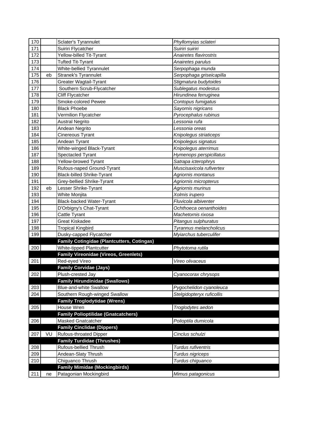| 170 |    | Sclater's Tyrannulet                              | Phyllomyias sclateri      |
|-----|----|---------------------------------------------------|---------------------------|
| 171 |    | Suiriri Flycatcher                                | Suiriri suiriri           |
| 172 |    | Yellow-billed Tit-Tyrant                          | Anairetes flavirostris    |
| 173 |    | <b>Tufted Tit-Tyrant</b>                          | Anairetes parulus         |
| 174 |    | White-bellied Tyrannulet                          | Serpophaga munda          |
| 175 | eb | <b>Stranek's Tyrannulet</b>                       | Serpophaga griseicapilla  |
| 176 |    | <b>Greater Wagtail-Tyrant</b>                     | Stigmatura budytoides     |
| 177 |    | Southern Scrub-Flycatcher                         | Sublegatus modestus       |
| 178 |    | <b>Cliff Flycatcher</b>                           | Hirundinea ferruginea     |
| 179 |    | Smoke-colored Pewee                               | Contopus fumigatus        |
| 180 |    | <b>Black Phoebe</b>                               | Sayornis nigricans        |
| 181 |    | Vermilion Flycatcher                              | Pyrocephalus rubinus      |
| 182 |    | <b>Austral Negrito</b>                            | Lessonia rufa             |
| 183 |    | Andean Negrito                                    | Lessonia oreas            |
| 184 |    | Cinereous Tyrant                                  | Knipolegus striaticeps    |
| 185 |    | Andean Tyrant                                     | Knipolegus signatus       |
| 186 |    | White-winged Black-Tyrant                         | Knipolegus aterrimus      |
| 187 |    | Spectacled Tyrant                                 | Hymenops perspicillatus   |
| 188 |    | Yellow-browed Tyrant                              | Satrapa icterophrys       |
| 189 |    | Rufous-naped Ground-Tyrant                        | Muscisaxicola rufivertex  |
| 190 |    | <b>Black-billed Shrike-Tyrant</b>                 | Agriornis montanus        |
| 191 |    | Grey-bellied Shrike-Tyrant                        |                           |
| 192 | eb | Lesser Shrike-Tyrant                              | Agriornis micropterus     |
| 193 |    |                                                   | Agriornis murinus         |
|     |    | White Monjita                                     | Xolmis irupero            |
| 194 |    | <b>Black-backed Water-Tyrant</b>                  | Fluvicola albiventer      |
| 195 |    | D'Orbigny's Chat-Tyrant                           | Ochthoeca oenanthoides    |
| 196 |    | Cattle Tyrant                                     | Machetornis rixosa        |
| 197 |    | Great Kiskadee                                    | Pitangus sulphuratus      |
| 198 |    | <b>Tropical Kingbird</b>                          | Tyrannus melancholicus    |
| 199 |    | Dusky-capped Flycatcher                           | Myiarchus tuberculifer    |
|     |    | <b>Family Cotingidae (Plantcutters, Cotingas)</b> |                           |
| 200 |    | White-tipped Plantcutter                          | Phytotoma rutila          |
|     |    | <b>Family Vireonidae (Vireos, Greenlets)</b>      |                           |
| 201 |    | Red-eyed Vireo                                    | Vireo olivaceus           |
|     |    | <b>Family Corvidae (Jays)</b>                     |                           |
| 202 |    | Plush-crested Jay                                 | Cyanocorax chrysops       |
|     |    | <b>Family Hirundinidae (Swallows)</b>             |                           |
| 203 |    | <b>Blue-and-white Swallow</b>                     | Pygochelidon cyanoleuca   |
| 204 |    | Southern Rough-winged Swallow                     | Stelgidopteryx ruficollis |
|     |    | <b>Family Troglodytidae (Wrens)</b>               |                           |
| 205 |    | House Wren                                        | Troglodytes aedon         |
|     |    | <b>Family Polioptilidae (Gnatcatchers)</b>        |                           |
| 206 |    | <b>Masked Gnatcatcher</b>                         | Polioptila dumicola       |
|     |    | <b>Family Cinclidae (Dippers)</b>                 |                           |
| 207 | VU | <b>Rufous-throated Dipper</b>                     | Cinclus schulzi           |
|     |    | <b>Family Turdidae (Thrushes)</b>                 |                           |
| 208 |    | Rufous-bellied Thrush                             | Turdus rufiventris        |
| 209 |    | Andean-Slaty Thrush                               | Turdus nigriceps          |
| 210 |    | Chiguanco Thrush                                  | Turdus chiguanco          |
|     |    | <b>Family Mimidae (Mockingbirds)</b>              |                           |
| 211 | ne | Patagonian Mockingbird                            | Mimus patagonicus         |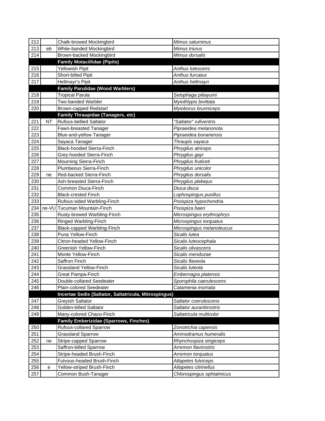| 212 |           | Chalk-browed Mockingbird                              | Mimus saturninus          |
|-----|-----------|-------------------------------------------------------|---------------------------|
| 213 | eb        | White-banded Mockingbird                              | Mimus triurus             |
| 214 |           | Brown-backed Mockingbird                              | Mimus dorsalis            |
|     |           | <b>Family Motacillidae (Pipits)</b>                   |                           |
| 215 |           | Yellowish Pipit                                       | Anthus lutescens          |
| 216 |           | <b>Short-billed Pipit</b>                             | Anthus furcatus           |
| 217 |           | Hellmayr's Pipit                                      | Anthus hellmayri          |
|     |           | <b>Family Parulidae (Wood Warblers)</b>               |                           |
| 218 |           | <b>Tropical Parula</b>                                | Setophaga pitiayumi       |
| 219 |           | <b>Two-banded Warbler</b>                             | Myiothlypis bivittata     |
| 220 |           | <b>Brown-capped Redstart</b>                          | Myioborus brunniceps      |
|     |           | <b>Family Thraupidae (Tanagers, etc)</b>              |                           |
| 221 | <b>NT</b> | <b>Rufous-bellied Saltator</b>                        | "Saltator" rufiventris    |
| 222 |           | Fawn-breasted Tanager                                 | Pipraeidea melanonota     |
| 223 |           | Blue-and-yellow Tanager                               | Pipraeidea bonariensis    |
| 224 |           | Sayaca Tanager                                        | Thraupis sayaca           |
| 225 |           | <b>Black-hooded Sierra-Finch</b>                      | Phrygilus atriceps        |
| 226 |           | Grey-hooded Sierra-Finch                              | Phrygilus gayi            |
| 227 |           | Mourning Sierra-Finch                                 | Phrygilus fruticeti       |
| 228 |           | Plumbeous Sierra-Finch                                | Phrygilus unicolor        |
| 229 | ne        | Red-backed Sierra-Finch                               | Phrygilus dorsalis        |
| 230 |           | Ash-breasted Sierra-Finch                             | Phrygilus plebejus        |
| 231 |           | Common Diuca-Finch                                    | Diuca diuca               |
| 232 |           | <b>Black-crested Finch</b>                            | Lophospingus pusillus     |
| 233 |           | Rufous-sided Warbling-Finch                           | Poospiza hypochondria     |
| 234 |           | ne-VU Tucuman Mountain-Finch                          | Poospiza baeri            |
| 235 |           | Rusty-browed Warbling-Finch                           | Microspingus erythrophrys |
| 236 |           | Ringed Warbling-Finch                                 | Microspingus torquatus    |
| 237 |           | Black-capped Warbling-Finch                           | Microspingus melanoleucus |
| 238 |           | Puna Yellow-Finch                                     | Sicalis lutea             |
| 239 |           | Citron-headed Yellow-Finch                            | Sicalis luteocephala      |
| 240 |           | Greenish Yellow-Finch                                 | Sicalis olivascens        |
| 241 |           | Monte Yellow-Finch                                    | Sicalis mendozae          |
| 242 |           | Saffron Finch                                         | Sicalis flaveola          |
| 243 |           | <b>Grassland Yellow-Finch</b>                         | Sicalis luteola           |
| 244 |           | Great Pampa-Finch                                     | Embernagra platensis      |
| 245 |           | Double-collared Seedeater                             | Sporophila caerulescens   |
| 246 |           | Plain-colored Seedeater                               | Catamenia inornata        |
|     |           | Incertae Sedis (Saltator, Saltatricula, Mitrospingus) |                           |
| 247 |           | Greyish Saltator                                      | Saltator coerulescens     |
| 248 |           | Golden-billed Saltator                                | Saltator aurantiirostris  |
| 249 |           | Many-colored Chaco-Finch                              | Saltatricula multicolor   |
|     |           | <b>Family Emberizidae (Sparrows, Finches)</b>         |                           |
| 250 |           | <b>Rufous-collared Sparrow</b>                        | Zonotrichia capensis      |
| 251 |           | <b>Grassland Sparrow</b>                              | Ammodramus humeralis      |
| 252 | ne        | Stripe-capped Sparrow                                 | Rhynchospiza strigiceps   |
| 253 |           | Saffron-billed Sparrow                                | Arremon flavirostris      |
| 254 |           | Stripe-headed Brush-Finch                             | Arremon torquatus         |
| 255 |           | Fulvous-headed Brush-Finch                            | Atlapetes fulviceps       |
| 256 | е         | Yellow-striped Brush-Finch                            | Atlapetes citrinellus     |
| 257 |           | Common Bush-Tanager                                   | Chlorospingus ophtalmicus |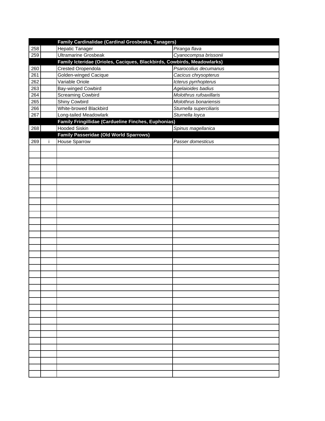|     | Family Cardinalidae (Cardinal Grosbeaks, Tanagers)                      |                         |
|-----|-------------------------------------------------------------------------|-------------------------|
| 258 | <b>Hepatic Tanager</b>                                                  | Piranga flava           |
| 259 | <b>Ultramarine Grosbeak</b>                                             | Cyanocompsa brissonii   |
|     | Family Icteridae (Orioles, Caciques, Blackbirds, Cowbirds, Meadowlarks) |                         |
| 260 | <b>Crested Oropendola</b>                                               | Psarocolius decumanus   |
| 261 | Golden-winged Cacique                                                   | Cacicus chrysopterus    |
| 262 | Variable Oriole                                                         | Icterus pyrrhopterus    |
| 263 | Bay-winged Cowbird                                                      | Agelaioides badius      |
| 264 | <b>Screaming Cowbird</b>                                                | Molothrus rufoaxillaris |
| 265 | Shiny Cowbird                                                           | Molothrus bonariensis   |
| 266 | White-browed Blackbird                                                  | Sturnella superciliaris |
| 267 | Long-tailed Meadowlark                                                  | Sturnella loyca         |
|     | Family Fringillidae (Cardueline Finches, Euphonias)                     |                         |
| 268 | <b>Hooded Siskin</b>                                                    | Spinus magellanica      |
|     | <b>Family Passeridae (Old World Sparrows)</b>                           |                         |
| 269 | <b>House Sparrow</b>                                                    | Passer domesticus       |
|     |                                                                         |                         |
|     |                                                                         |                         |
|     |                                                                         |                         |
|     |                                                                         |                         |
|     |                                                                         |                         |
|     |                                                                         |                         |
|     |                                                                         |                         |
|     |                                                                         |                         |
|     |                                                                         |                         |
|     |                                                                         |                         |
|     |                                                                         |                         |
|     |                                                                         |                         |
|     |                                                                         |                         |
|     |                                                                         |                         |
|     |                                                                         |                         |
|     |                                                                         |                         |
|     |                                                                         |                         |
|     |                                                                         |                         |
|     |                                                                         |                         |
|     |                                                                         |                         |
|     |                                                                         |                         |
|     |                                                                         |                         |
|     |                                                                         |                         |
|     |                                                                         |                         |
|     |                                                                         |                         |
|     |                                                                         |                         |
|     |                                                                         |                         |
|     |                                                                         |                         |
|     |                                                                         |                         |
|     |                                                                         |                         |
|     |                                                                         |                         |
|     |                                                                         |                         |
|     |                                                                         |                         |
|     |                                                                         |                         |
|     |                                                                         |                         |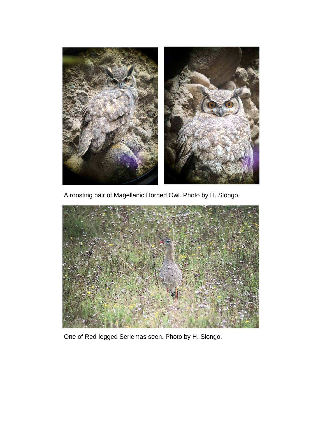

A roosting pair of Magellanic Horned Owl. Photo by H. Slongo.



One of Red-legged Seriemas seen. Photo by H. Slongo.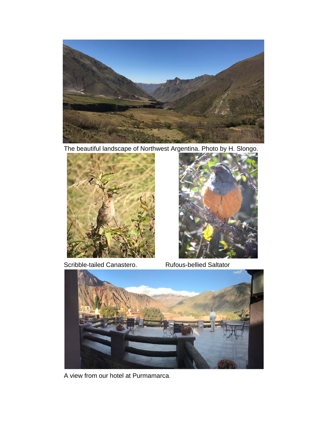

The beautiful landscape of Northwest Argentina. Photo by H. Slongo.



Scribble-tailed Canastero. Rufous-bellied Saltator





A view from our hotel at Purmamarca.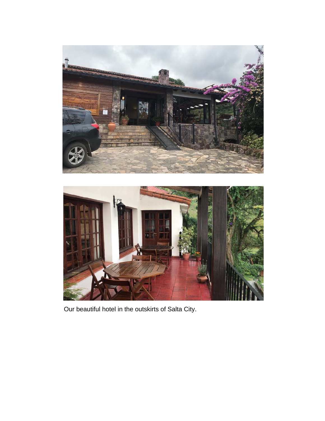



Our beautiful hotel in the outskirts of Salta City.